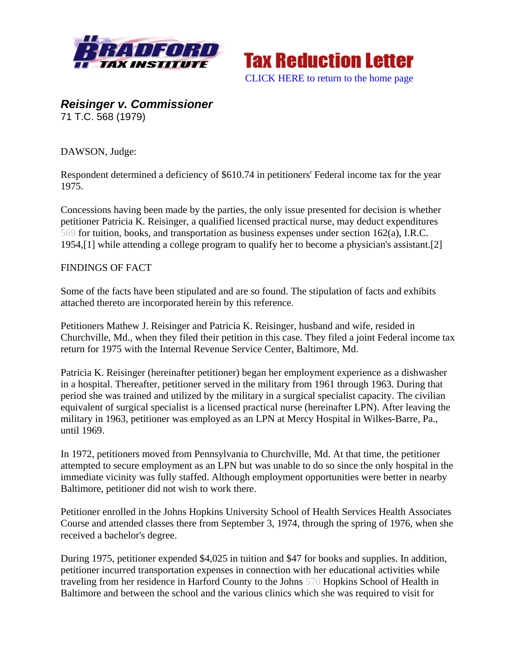



*Reisinger v. Commissioner*  71 T.C. 568 (1979)

DAWSON, Judge:

Respondent determined a deficiency of \$610.74 in petitioners' Federal income tax for the year 1975.

Concessions having been made by the parties, the only issue presented for decision is whether petitioner Patricia K. Reisinger, a qualified licensed practical nurse, may deduct expenditures 569 for tuition, books, and transportation as business expenses under section 162(a), I.R.C. 1954,[1] while attending a college program to qualify her to become a physician's assistant.[2]

#### FINDINGS OF FACT

Some of the facts have been stipulated and are so found. The stipulation of facts and exhibits attached thereto are incorporated herein by this reference.

Petitioners Mathew J. Reisinger and Patricia K. Reisinger, husband and wife, resided in Churchville, Md., when they filed their petition in this case. They filed a joint Federal income tax return for 1975 with the Internal Revenue Service Center, Baltimore, Md.

Patricia K. Reisinger (hereinafter petitioner) began her employment experience as a dishwasher in a hospital. Thereafter, petitioner served in the military from 1961 through 1963. During that period she was trained and utilized by the military in a surgical specialist capacity. The civilian equivalent of surgical specialist is a licensed practical nurse (hereinafter LPN). After leaving the military in 1963, petitioner was employed as an LPN at Mercy Hospital in Wilkes-Barre, Pa., until 1969.

In 1972, petitioners moved from Pennsylvania to Churchville, Md. At that time, the petitioner attempted to secure employment as an LPN but was unable to do so since the only hospital in the immediate vicinity was fully staffed. Although employment opportunities were better in nearby Baltimore, petitioner did not wish to work there.

Petitioner enrolled in the Johns Hopkins University School of Health Services Health Associates Course and attended classes there from September 3, 1974, through the spring of 1976, when she received a bachelor's degree.

During 1975, petitioner expended \$4,025 in tuition and \$47 for books and supplies. In addition, petitioner incurred transportation expenses in connection with her educational activities while traveling from her residence in Harford County to the Johns 570 Hopkins School of Health in Baltimore and between the school and the various clinics which she was required to visit for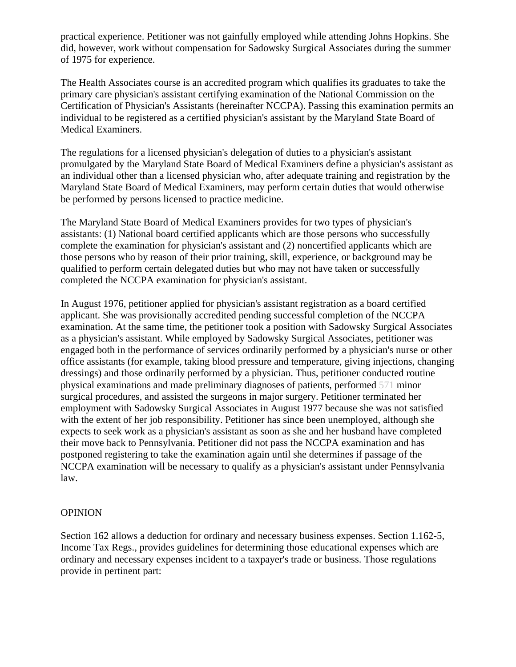practical experience. Petitioner was not gainfully employed while attending Johns Hopkins. She did, however, work without compensation for Sadowsky Surgical Associates during the summer of 1975 for experience.

The Health Associates course is an accredited program which qualifies its graduates to take the primary care physician's assistant certifying examination of the National Commission on the Certification of Physician's Assistants (hereinafter NCCPA). Passing this examination permits an individual to be registered as a certified physician's assistant by the Maryland State Board of Medical Examiners.

The regulations for a licensed physician's delegation of duties to a physician's assistant promulgated by the Maryland State Board of Medical Examiners define a physician's assistant as an individual other than a licensed physician who, after adequate training and registration by the Maryland State Board of Medical Examiners, may perform certain duties that would otherwise be performed by persons licensed to practice medicine.

The Maryland State Board of Medical Examiners provides for two types of physician's assistants: (1) National board certified applicants which are those persons who successfully complete the examination for physician's assistant and (2) noncertified applicants which are those persons who by reason of their prior training, skill, experience, or background may be qualified to perform certain delegated duties but who may not have taken or successfully completed the NCCPA examination for physician's assistant.

In August 1976, petitioner applied for physician's assistant registration as a board certified applicant. She was provisionally accredited pending successful completion of the NCCPA examination. At the same time, the petitioner took a position with Sadowsky Surgical Associates as a physician's assistant. While employed by Sadowsky Surgical Associates, petitioner was engaged both in the performance of services ordinarily performed by a physician's nurse or other office assistants (for example, taking blood pressure and temperature, giving injections, changing dressings) and those ordinarily performed by a physician. Thus, petitioner conducted routine physical examinations and made preliminary diagnoses of patients, performed 571 minor surgical procedures, and assisted the surgeons in major surgery. Petitioner terminated her employment with Sadowsky Surgical Associates in August 1977 because she was not satisfied with the extent of her job responsibility. Petitioner has since been unemployed, although she expects to seek work as a physician's assistant as soon as she and her husband have completed their move back to Pennsylvania. Petitioner did not pass the NCCPA examination and has postponed registering to take the examination again until she determines if passage of the NCCPA examination will be necessary to qualify as a physician's assistant under Pennsylvania law.

#### OPINION

Section 162 allows a deduction for ordinary and necessary business expenses. Section 1.162-5, Income Tax Regs., provides guidelines for determining those educational expenses which are ordinary and necessary expenses incident to a taxpayer's trade or business. Those regulations provide in pertinent part: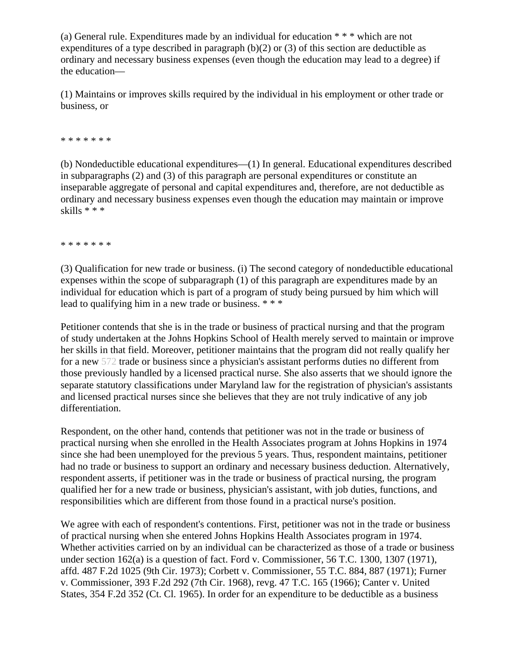(a) General rule. Expenditures made by an individual for education \* \* \* which are not expenditures of a type described in paragraph  $(b)(2)$  or (3) of this section are deductible as ordinary and necessary business expenses (even though the education may lead to a degree) if the education—

(1) Maintains or improves skills required by the individual in his employment or other trade or business, or

\* \* \* \* \* \* \*

(b) Nondeductible educational expenditures—(1) In general. Educational expenditures described in subparagraphs (2) and (3) of this paragraph are personal expenditures or constitute an inseparable aggregate of personal and capital expenditures and, therefore, are not deductible as ordinary and necessary business expenses even though the education may maintain or improve skills \* \* \*

\* \* \* \* \* \* \*

(3) Qualification for new trade or business. (i) The second category of nondeductible educational expenses within the scope of subparagraph (1) of this paragraph are expenditures made by an individual for education which is part of a program of study being pursued by him which will lead to qualifying him in a new trade or business. \* \* \*

Petitioner contends that she is in the trade or business of practical nursing and that the program of study undertaken at the Johns Hopkins School of Health merely served to maintain or improve her skills in that field. Moreover, petitioner maintains that the program did not really qualify her for a new 572 trade or business since a physician's assistant performs duties no different from those previously handled by a licensed practical nurse. She also asserts that we should ignore the separate statutory classifications under Maryland law for the registration of physician's assistants and licensed practical nurses since she believes that they are not truly indicative of any job differentiation.

Respondent, on the other hand, contends that petitioner was not in the trade or business of practical nursing when she enrolled in the Health Associates program at Johns Hopkins in 1974 since she had been unemployed for the previous 5 years. Thus, respondent maintains, petitioner had no trade or business to support an ordinary and necessary business deduction. Alternatively, respondent asserts, if petitioner was in the trade or business of practical nursing, the program qualified her for a new trade or business, physician's assistant, with job duties, functions, and responsibilities which are different from those found in a practical nurse's position.

We agree with each of respondent's contentions. First, petitioner was not in the trade or business of practical nursing when she entered Johns Hopkins Health Associates program in 1974. Whether activities carried on by an individual can be characterized as those of a trade or business under section 162(a) is a question of fact. Ford v. Commissioner, 56 T.C. 1300, 1307 (1971), affd. 487 F.2d 1025 (9th Cir. 1973); Corbett v. Commissioner, 55 T.C. 884, 887 (1971); Furner v. Commissioner, 393 F.2d 292 (7th Cir. 1968), revg. 47 T.C. 165 (1966); Canter v. United States, 354 F.2d 352 (Ct. Cl. 1965). In order for an expenditure to be deductible as a business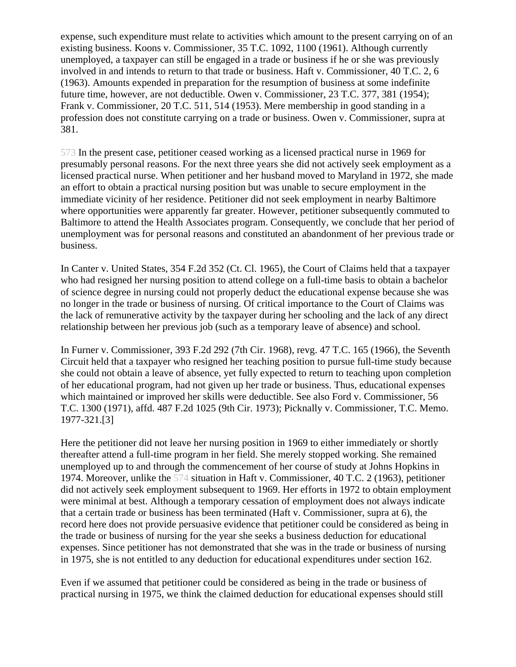expense, such expenditure must relate to activities which amount to the present carrying on of an existing business. Koons v. Commissioner, 35 T.C. 1092, 1100 (1961). Although currently unemployed, a taxpayer can still be engaged in a trade or business if he or she was previously involved in and intends to return to that trade or business. Haft v. Commissioner, 40 T.C. 2, 6 (1963). Amounts expended in preparation for the resumption of business at some indefinite future time, however, are not deductible. Owen v. Commissioner, 23 T.C. 377, 381 (1954); Frank v. Commissioner, 20 T.C. 511, 514 (1953). Mere membership in good standing in a profession does not constitute carrying on a trade or business. Owen v. Commissioner, supra at 381.

573 In the present case, petitioner ceased working as a licensed practical nurse in 1969 for presumably personal reasons. For the next three years she did not actively seek employment as a licensed practical nurse. When petitioner and her husband moved to Maryland in 1972, she made an effort to obtain a practical nursing position but was unable to secure employment in the immediate vicinity of her residence. Petitioner did not seek employment in nearby Baltimore where opportunities were apparently far greater. However, petitioner subsequently commuted to Baltimore to attend the Health Associates program. Consequently, we conclude that her period of unemployment was for personal reasons and constituted an abandonment of her previous trade or business.

In Canter v. United States, 354 F.2d 352 (Ct. Cl. 1965), the Court of Claims held that a taxpayer who had resigned her nursing position to attend college on a full-time basis to obtain a bachelor of science degree in nursing could not properly deduct the educational expense because she was no longer in the trade or business of nursing. Of critical importance to the Court of Claims was the lack of remunerative activity by the taxpayer during her schooling and the lack of any direct relationship between her previous job (such as a temporary leave of absence) and school.

In Furner v. Commissioner, 393 F.2d 292 (7th Cir. 1968), revg. 47 T.C. 165 (1966), the Seventh Circuit held that a taxpayer who resigned her teaching position to pursue full-time study because she could not obtain a leave of absence, yet fully expected to return to teaching upon completion of her educational program, had not given up her trade or business. Thus, educational expenses which maintained or improved her skills were deductible. See also Ford v. Commissioner, 56 T.C. 1300 (1971), affd. 487 F.2d 1025 (9th Cir. 1973); Picknally v. Commissioner, T.C. Memo. 1977-321.[3]

Here the petitioner did not leave her nursing position in 1969 to either immediately or shortly thereafter attend a full-time program in her field. She merely stopped working. She remained unemployed up to and through the commencement of her course of study at Johns Hopkins in 1974. Moreover, unlike the 574 situation in Haft v. Commissioner, 40 T.C. 2 (1963), petitioner did not actively seek employment subsequent to 1969. Her efforts in 1972 to obtain employment were minimal at best. Although a temporary cessation of employment does not always indicate that a certain trade or business has been terminated (Haft v. Commissioner, supra at 6), the record here does not provide persuasive evidence that petitioner could be considered as being in the trade or business of nursing for the year she seeks a business deduction for educational expenses. Since petitioner has not demonstrated that she was in the trade or business of nursing in 1975, she is not entitled to any deduction for educational expenditures under section 162.

Even if we assumed that petitioner could be considered as being in the trade or business of practical nursing in 1975, we think the claimed deduction for educational expenses should still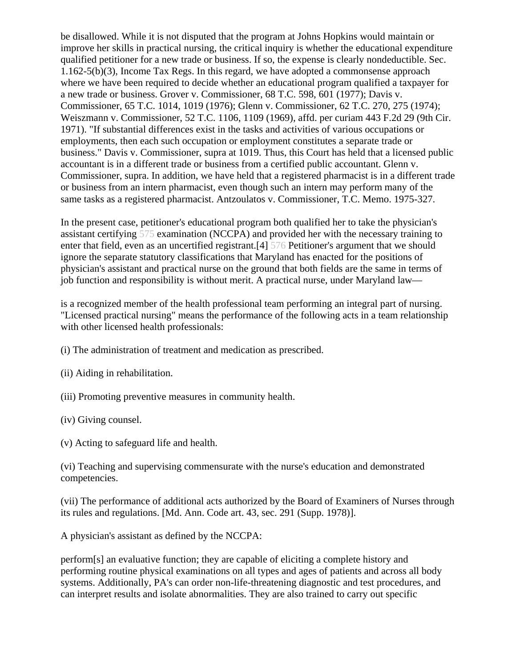be disallowed. While it is not disputed that the program at Johns Hopkins would maintain or improve her skills in practical nursing, the critical inquiry is whether the educational expenditure qualified petitioner for a new trade or business. If so, the expense is clearly nondeductible. Sec. 1.162-5(b)(3), Income Tax Regs. In this regard, we have adopted a commonsense approach where we have been required to decide whether an educational program qualified a taxpayer for a new trade or business. Grover v. Commissioner, 68 T.C. 598, 601 (1977); Davis v. Commissioner, 65 T.C. 1014, 1019 (1976); Glenn v. Commissioner, 62 T.C. 270, 275 (1974); Weiszmann v. Commissioner, 52 T.C. 1106, 1109 (1969), affd. per curiam 443 F.2d 29 (9th Cir. 1971). "If substantial differences exist in the tasks and activities of various occupations or employments, then each such occupation or employment constitutes a separate trade or business." Davis v. Commissioner, supra at 1019. Thus, this Court has held that a licensed public accountant is in a different trade or business from a certified public accountant. Glenn v. Commissioner, supra. In addition, we have held that a registered pharmacist is in a different trade or business from an intern pharmacist, even though such an intern may perform many of the same tasks as a registered pharmacist. Antzoulatos v. Commissioner, T.C. Memo. 1975-327.

In the present case, petitioner's educational program both qualified her to take the physician's assistant certifying 575 examination (NCCPA) and provided her with the necessary training to enter that field, even as an uncertified registrant.[4] 576 Petitioner's argument that we should ignore the separate statutory classifications that Maryland has enacted for the positions of physician's assistant and practical nurse on the ground that both fields are the same in terms of job function and responsibility is without merit. A practical nurse, under Maryland law—

is a recognized member of the health professional team performing an integral part of nursing. "Licensed practical nursing" means the performance of the following acts in a team relationship with other licensed health professionals:

- (i) The administration of treatment and medication as prescribed.
- (ii) Aiding in rehabilitation.
- (iii) Promoting preventive measures in community health.
- (iv) Giving counsel.

(v) Acting to safeguard life and health.

(vi) Teaching and supervising commensurate with the nurse's education and demonstrated competencies.

(vii) The performance of additional acts authorized by the Board of Examiners of Nurses through its rules and regulations. [Md. Ann. Code art. 43, sec. 291 (Supp. 1978)].

A physician's assistant as defined by the NCCPA:

perform[s] an evaluative function; they are capable of eliciting a complete history and performing routine physical examinations on all types and ages of patients and across all body systems. Additionally, PA's can order non-life-threatening diagnostic and test procedures, and can interpret results and isolate abnormalities. They are also trained to carry out specific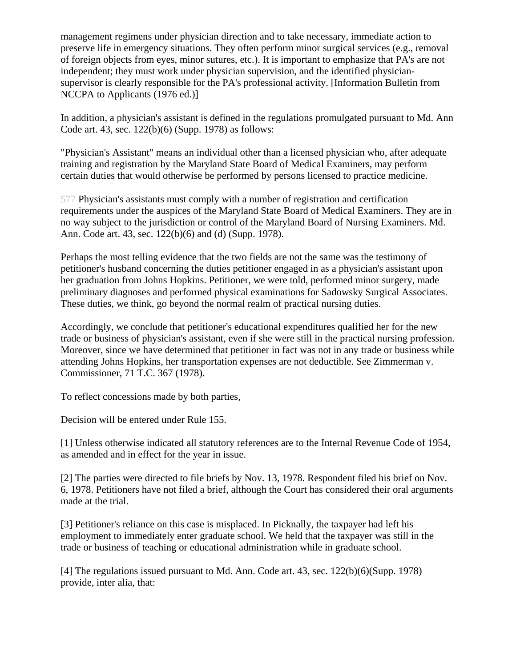management regimens under physician direction and to take necessary, immediate action to preserve life in emergency situations. They often perform minor surgical services (e.g., removal of foreign objects from eyes, minor sutures, etc.). It is important to emphasize that PA's are not independent; they must work under physician supervision, and the identified physiciansupervisor is clearly responsible for the PA's professional activity. [Information Bulletin from NCCPA to Applicants (1976 ed.)]

In addition, a physician's assistant is defined in the regulations promulgated pursuant to Md. Ann Code art. 43, sec. 122(b)(6) (Supp. 1978) as follows:

"Physician's Assistant" means an individual other than a licensed physician who, after adequate training and registration by the Maryland State Board of Medical Examiners, may perform certain duties that would otherwise be performed by persons licensed to practice medicine.

577 Physician's assistants must comply with a number of registration and certification requirements under the auspices of the Maryland State Board of Medical Examiners. They are in no way subject to the jurisdiction or control of the Maryland Board of Nursing Examiners. Md. Ann. Code art. 43, sec. 122(b)(6) and (d) (Supp. 1978).

Perhaps the most telling evidence that the two fields are not the same was the testimony of petitioner's husband concerning the duties petitioner engaged in as a physician's assistant upon her graduation from Johns Hopkins. Petitioner, we were told, performed minor surgery, made preliminary diagnoses and performed physical examinations for Sadowsky Surgical Associates. These duties, we think, go beyond the normal realm of practical nursing duties.

Accordingly, we conclude that petitioner's educational expenditures qualified her for the new trade or business of physician's assistant, even if she were still in the practical nursing profession. Moreover, since we have determined that petitioner in fact was not in any trade or business while attending Johns Hopkins, her transportation expenses are not deductible. See Zimmerman v. Commissioner, 71 T.C. 367 (1978).

To reflect concessions made by both parties,

Decision will be entered under Rule 155.

[1] Unless otherwise indicated all statutory references are to the Internal Revenue Code of 1954, as amended and in effect for the year in issue.

[2] The parties were directed to file briefs by Nov. 13, 1978. Respondent filed his brief on Nov. 6, 1978. Petitioners have not filed a brief, although the Court has considered their oral arguments made at the trial.

[3] Petitioner's reliance on this case is misplaced. In Picknally, the taxpayer had left his employment to immediately enter graduate school. We held that the taxpayer was still in the trade or business of teaching or educational administration while in graduate school.

[4] The regulations issued pursuant to Md. Ann. Code art. 43, sec. 122(b)(6)(Supp. 1978) provide, inter alia, that: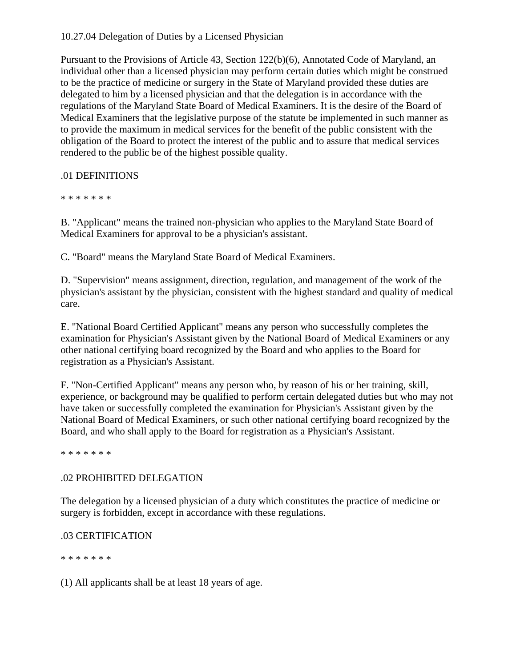#### 10.27.04 Delegation of Duties by a Licensed Physician

Pursuant to the Provisions of Article 43, Section 122(b)(6), Annotated Code of Maryland, an individual other than a licensed physician may perform certain duties which might be construed to be the practice of medicine or surgery in the State of Maryland provided these duties are delegated to him by a licensed physician and that the delegation is in accordance with the regulations of the Maryland State Board of Medical Examiners. It is the desire of the Board of Medical Examiners that the legislative purpose of the statute be implemented in such manner as to provide the maximum in medical services for the benefit of the public consistent with the obligation of the Board to protect the interest of the public and to assure that medical services rendered to the public be of the highest possible quality.

# .01 DEFINITIONS

\* \* \* \* \* \* \*

B. "Applicant" means the trained non-physician who applies to the Maryland State Board of Medical Examiners for approval to be a physician's assistant.

C. "Board" means the Maryland State Board of Medical Examiners.

D. "Supervision" means assignment, direction, regulation, and management of the work of the physician's assistant by the physician, consistent with the highest standard and quality of medical care.

E. "National Board Certified Applicant" means any person who successfully completes the examination for Physician's Assistant given by the National Board of Medical Examiners or any other national certifying board recognized by the Board and who applies to the Board for registration as a Physician's Assistant.

F. "Non-Certified Applicant" means any person who, by reason of his or her training, skill, experience, or background may be qualified to perform certain delegated duties but who may not have taken or successfully completed the examination for Physician's Assistant given by the National Board of Medical Examiners, or such other national certifying board recognized by the Board, and who shall apply to the Board for registration as a Physician's Assistant.

\* \* \* \* \* \* \*

# .02 PROHIBITED DELEGATION

The delegation by a licensed physician of a duty which constitutes the practice of medicine or surgery is forbidden, except in accordance with these regulations.

# .03 CERTIFICATION

\* \* \* \* \* \* \*

(1) All applicants shall be at least 18 years of age.